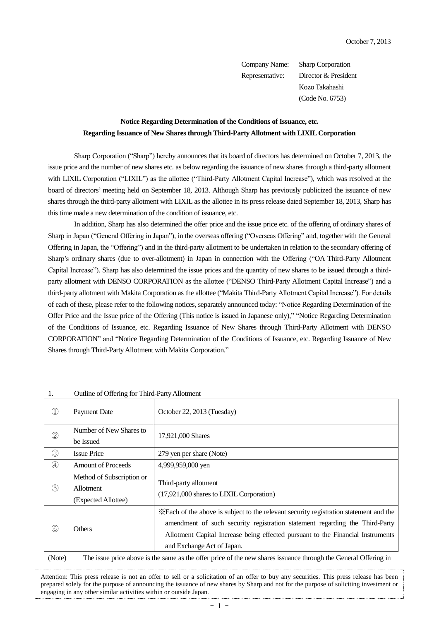Company Name: Sharp Corporation Representative: Director & President Kozo Takahashi (Code No. 6753)

## **Notice Regarding Determination of the Conditions of Issuance, etc. Regarding Issuance of New Shares through Third-Party Allotment with LIXIL Corporation**

Sharp Corporation ("Sharp") hereby announces that its board of directors has determined on October 7, 2013, the issue price and the number of new shares etc. as below regarding the issuance of new shares through a third-party allotment with LIXIL Corporation ("LIXIL") as the allottee ("Third-Party Allotment Capital Increase"), which was resolved at the board of directors' meeting held on September 18, 2013. Although Sharp has previously publicized the issuance of new shares through the third-party allotment with LIXIL as the allottee in its press release dated September 18, 2013, Sharp has this time made a new determination of the condition of issuance, etc.

In addition, Sharp has also determined the offer price and the issue price etc. of the offering of ordinary shares of Sharp in Japan ("General Offering in Japan"), in the overseas offering ("Overseas Offering" and, together with the General Offering in Japan, the "Offering") and in the third-party allotment to be undertaken in relation to the secondary offering of Sharp's ordinary shares (due to over-allotment) in Japan in connection with the Offering ("OA Third-Party Allotment Capital Increase"). Sharp has also determined the issue prices and the quantity of new shares to be issued through a thirdparty allotment with DENSO CORPORATION as the allottee ("DENSO Third-Party Allotment Capital Increase") and a third-party allotment with Makita Corporation as the allottee ("Makita Third-Party Allotment Capital Increase"). For details of each of these, please refer to the following notices, separately announced today: "Notice Regarding Determination of the Offer Price and the Issue price of the Offering (This notice is issued in Japanese only)," "Notice Regarding Determination of the Conditions of Issuance, etc. Regarding Issuance of New Shares through Third-Party Allotment with DENSO CORPORATION" and "Notice Regarding Determination of the Conditions of Issuance, etc. Regarding Issuance of New Shares through Third-Party Allotment with Makita Corporation."

| . .           | $\sigma$ of $\sigma$ of $\sigma$ of $\sigma$ and $\sigma$ and $\sigma$ and $\sigma$ and $\sigma$ |                                                                                                                                                                                                                                                                                       |
|---------------|--------------------------------------------------------------------------------------------------|---------------------------------------------------------------------------------------------------------------------------------------------------------------------------------------------------------------------------------------------------------------------------------------|
|               | Payment Date                                                                                     | October 22, 2013 (Tuesday)                                                                                                                                                                                                                                                            |
| $\circledZ$   | Number of New Shares to<br>be Issued                                                             | 17,921,000 Shares                                                                                                                                                                                                                                                                     |
| $\circled{3}$ | <b>Issue Price</b>                                                                               | 279 yen per share (Note)                                                                                                                                                                                                                                                              |
| $\circled{4}$ | <b>Amount of Proceeds</b>                                                                        | 4,999,959,000 yen                                                                                                                                                                                                                                                                     |
| $\circledS$   | Method of Subscription or<br><b>Allotment</b><br>(Expected Allottee)                             | Third-party allotment<br>(17,921,000 shares to LIXIL Corporation)                                                                                                                                                                                                                     |
| $\circled6$   | <b>Others</b>                                                                                    | *Each of the above is subject to the relevant security registration statement and the<br>amendment of such security registration statement regarding the Third-Party<br>Allotment Capital Increase being effected pursuant to the Financial Instruments<br>and Exchange Act of Japan. |
| $(NT_{n+1})$  |                                                                                                  | The latter action theory is the same as the office action of the according community than the $C$ -accord $\Delta T$ -according                                                                                                                                                       |

1. Outline of Offering for Third-Party Allotment

(Note) The issue price above is the same as the offer price of the new shares issuance through the General Offering in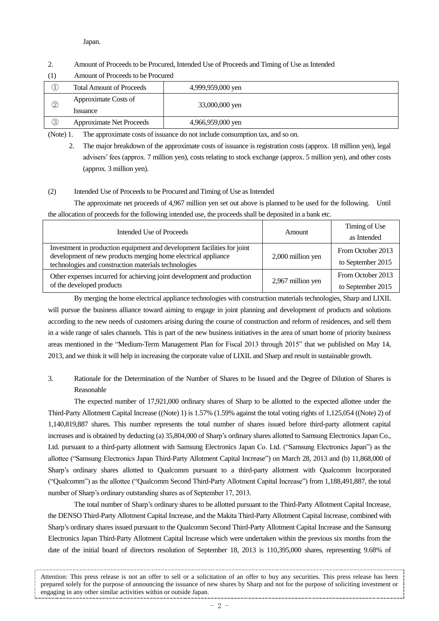#### Japan.

### 2. Amount of Proceeds to be Procured, Intended Use of Proceeds and Timing of Use as Intended

(1) Amount of Proceeds to be Procured

|             | <b>Total Amount of Proceeds</b>        | 4,999,959,000 yen |  |
|-------------|----------------------------------------|-------------------|--|
| 2           | Approximate Costs of<br><i>ssuance</i> | 33,000,000 yen    |  |
| $\circledS$ | <b>Approximate Net Proceeds</b>        | 4,966,959,000 yen |  |

(Note) 1. The approximate costs of issuance do not include consumption tax, and so on.

2. The major breakdown of the approximate costs of issuance is registration costs (approx. 18 million yen), legal advisers' fees (approx. 7 million yen), costs relating to stock exchange (approx. 5 million yen), and other costs (approx. 3 million yen).

### (2) Intended Use of Proceeds to be Procured and Timing of Use as Intended

The approximate net proceeds of 4,967 million yen set out above is planned to be used for the following. Until the allocation of proceeds for the following intended use, the proceeds shall be deposited in a bank etc.

| Intended Use of Proceeds                                                                                                                                                                         | <b>Amount</b>     | Timing of Use                          |
|--------------------------------------------------------------------------------------------------------------------------------------------------------------------------------------------------|-------------------|----------------------------------------|
|                                                                                                                                                                                                  |                   | as Intended                            |
| Investment in production equipment and development facilities for joint<br>development of new products merging home electrical appliance<br>technologies and construction materials technologies | 2,000 million yen | From October 2013<br>to September 2015 |
| Other expenses incurred for achieving joint development and production<br>of the developed products                                                                                              | 2,967 million yen | From October 2013<br>to September 2015 |

By merging the home electrical appliance technologies with construction materials technologies, Sharp and LIXIL will pursue the business alliance toward aiming to engage in joint planning and development of products and solutions according to the new needs of customers arising during the course of construction and reform of residences, and sell them in a wide range of sales channels. This is part of the new business initiatives in the area of smart home of priority business areas mentioned in the "Medium-Term Management Plan for Fiscal 2013 through 2015" that we published on May 14, 2013, and we think it will help in increasing the corporate value of LIXIL and Sharp and result in sustainable growth.

# 3. Rationale for the Determination of the Number of Shares to be Issued and the Degree of Dilution of Shares is Reasonable

The expected number of 17,921,000 ordinary shares of Sharp to be allotted to the expected allottee under the Third-Party Allotment Capital Increase ((Note) 1) is 1.57% (1.59% against the total voting rights of 1,125,054 ((Note) 2) of 1,140,819,887 shares. This number represents the total number of shares issued before third-party allotment capital increases and is obtained by deducting (a) 35,804,000 of Sharp's ordinary shares allotted to Samsung Electronics Japan Co., Ltd. pursuant to a third-party allotment with Samsung Electronics Japan Co. Ltd. ("Samsung Electronics Japan") as the allottee ("Samsung Electronics Japan Third-Party Allotment Capital Increase") on March 28, 2013 and (b) 11,868,000 of Sharp's ordinary shares allotted to Qualcomm pursuant to a third-party allotment with Qualcomm Incorporated ("Qualcomm") as the allottee ("Qualcomm Second Third-Party Allotment Capital Increase") from 1,188,491,887, the total number of Sharp's ordinary outstanding shares as of September 17, 2013.

The total number of Sharp's ordinary shares to be allotted pursuant to the Third-Party Allotment Capital Increase, the DENSO Third-Party Allotment Capital Increase, and the Makita Third-Party Allotment Capital Increase, combined with Sharp's ordinary shares issued pursuant to the Qualcomm Second Third-Party Allotment Capital Increase and the Samsung Electronics Japan Third-Party Allotment Capital Increase which were undertaken within the previous six months from the date of the initial board of directors resolution of September 18, 2013 is 110,395,000 shares, representing 9.68% of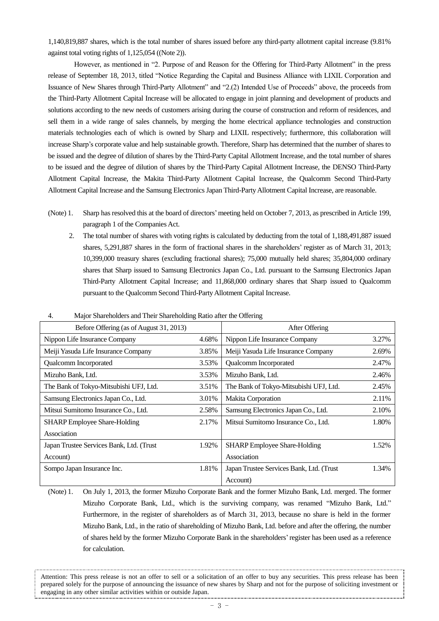1,140,819,887 shares, which is the total number of shares issued before any third-party allotment capital increase (9.81% against total voting rights of 1,125,054 ((Note 2)).

However, as mentioned in "2. Purpose of and Reason for the Offering for Third-Party Allotment" in the press release of September 18, 2013, titled "Notice Regarding the Capital and Business Alliance with LIXIL Corporation and Issuance of New Shares through Third-Party Allotment" and "2.(2) Intended Use of Proceeds" above, the proceeds from the Third-Party Allotment Capital Increase will be allocated to engage in joint planning and development of products and solutions according to the new needs of customers arising during the course of construction and reform of residences, and sell them in a wide range of sales channels, by merging the home electrical appliance technologies and construction materials technologies each of which is owned by Sharp and LIXIL respectively; furthermore, this collaboration will increase Sharp's corporate value and help sustainable growth. Therefore, Sharp has determined that the number of shares to be issued and the degree of dilution of shares by the Third-Party Capital Allotment Increase, and the total number of shares to be issued and the degree of dilution of shares by the Third-Party Capital Allotment Increase, the DENSO Third-Party Allotment Capital Increase, the Makita Third-Party Allotment Capital Increase, the Qualcomm Second Third-Party Allotment Capital Increase and the Samsung Electronics Japan Third-Party Allotment Capital Increase, are reasonable.

- (Note) 1. Sharp has resolved this at the board of directors'meeting held on October 7, 2013, as prescribed in Article 199, paragraph 1 of the Companies Act.
	- 2. The total number of shares with voting rights is calculated by deducting from the total of 1,188,491,887 issued shares, 5,291,887 shares in the form of fractional shares in the shareholders' register as of March 31, 2013; 10,399,000 treasury shares (excluding fractional shares); 75,000 mutually held shares; 35,804,000 ordinary shares that Sharp issued to Samsung Electronics Japan Co., Ltd. pursuant to the Samsung Electronics Japan Third-Party Allotment Capital Increase; and 11,868,000 ordinary shares that Sharp issued to Qualcomm pursuant to the Qualcomm Second Third-Party Allotment Capital Increase.

| Before Offering (as of August 31, 2013)  |       | After Offering                           |       |
|------------------------------------------|-------|------------------------------------------|-------|
| Nippon Life Insurance Company            | 4.68% | Nippon Life Insurance Company            | 3.27% |
| Meiji Yasuda Life Insurance Company      | 3.85% | Meiji Yasuda Life Insurance Company      | 2.69% |
| Qualcomm Incorporated                    | 3.53% | Qualcomm Incorporated                    | 2.47% |
| Mizuho Bank, Ltd.                        | 3.53% | Mizuho Bank, Ltd.                        | 2.46% |
| The Bank of Tokyo-Mitsubishi UFJ, Ltd.   | 3.51% | The Bank of Tokyo-Mitsubishi UFJ, Ltd.   | 2.45% |
| Samsung Electronics Japan Co., Ltd.      | 3.01% | Makita Corporation                       | 2.11% |
| Mitsui Sumitomo Insurance Co., Ltd.      | 2.58% | Samsung Electronics Japan Co., Ltd.      | 2.10% |
| <b>SHARP</b> Employee Share-Holding      | 2.17% | Mitsui Sumitomo Insurance Co., Ltd.      | 1.80% |
| Association                              |       |                                          |       |
| Japan Trustee Services Bank, Ltd. (Trust | 1.92% | <b>SHARP</b> Employee Share-Holding      | 1.52% |
| Account)                                 |       | Association                              |       |
| Sompo Japan Insurance Inc.               | 1.81% | Japan Trustee Services Bank, Ltd. (Trust | 1.34% |
|                                          |       | Account)                                 |       |

4. Major Shareholders and Their Shareholding Ratio after the Offering

(Note) 1. On July 1, 2013, the former Mizuho Corporate Bank and the former Mizuho Bank, Ltd. merged. The former Mizuho Corporate Bank, Ltd., which is the surviving company, was renamed "Mizuho Bank, Ltd." Furthermore, in the register of shareholders as of March 31, 2013, because no share is held in the former Mizuho Bank, Ltd., in the ratio of shareholding of Mizuho Bank, Ltd. before and after the offering, the number of shares held by the former Mizuho Corporate Bank in the shareholders'register has been used as a reference for calculation.